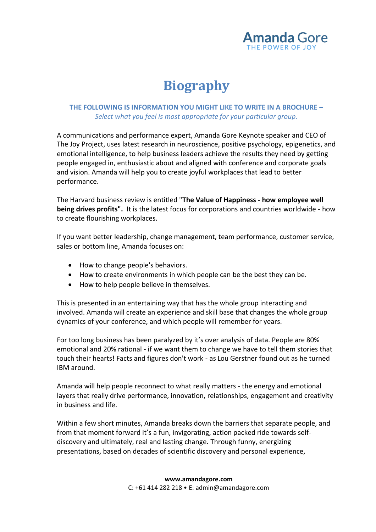

# **Biography**

# **THE FOLLOWING IS INFORMATION YOU MIGHT LIKE TO WRITE IN A BROCHURE –** *Select what you feel is most appropriate for your particular group.*

A communications and performance expert, Amanda Gore Keynote speaker and CEO of The Joy Project, uses latest research in neuroscience, positive psychology, epigenetics, and emotional intelligence, to help business leaders achieve the results they need by getting people engaged in, enthusiastic about and aligned with conference and corporate goals and vision. Amanda will help you to create joyful workplaces that lead to better performance.

The Harvard business review is entitled "**The Value of Happiness - how employee well being drives profits".** It is the latest focus for corporations and countries worldwide - how to create flourishing workplaces.

If you want better leadership, change management, team performance, customer service, sales or bottom line, Amanda focuses on:

- How to change people's behaviors.
- How to create environments in which people can be the best they can be.
- How to help people believe in themselves.

This is presented in an entertaining way that has the whole group interacting and involved. Amanda will create an experience and skill base that changes the whole group dynamics of your conference, and which people will remember for years.

For too long business has been paralyzed by it's over analysis of data. People are 80% emotional and 20% rational - if we want them to change we have to tell them stories that touch their hearts! Facts and figures don't work - as Lou Gerstner found out as he turned IBM around.

Amanda will help people reconnect to what really matters - the energy and emotional layers that really drive performance, innovation, relationships, engagement and creativity in business and life.

Within a few short minutes, Amanda breaks down the barriers that separate people, and from that moment forward it's a fun, invigorating, action packed ride towards selfdiscovery and ultimately, real and lasting change. Through funny, energizing presentations, based on decades of scientific discovery and personal experience,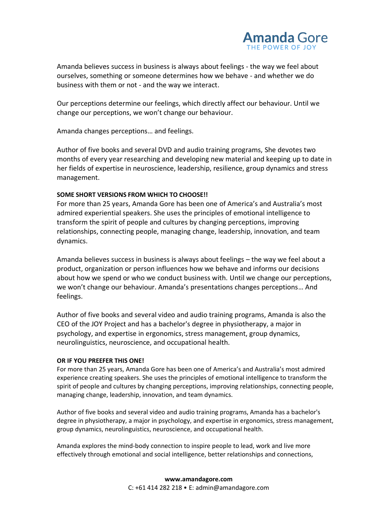

Amanda believes success in business is always about feelings - the way we feel about ourselves, something or someone determines how we behave - and whether we do business with them or not - and the way we interact.

Our perceptions determine our feelings, which directly affect our behaviour. Until we change our perceptions, we won't change our behaviour.

Amanda changes perceptions… and feelings.

Author of five books and several DVD and audio training programs, She devotes two months of every year researching and developing new material and keeping up to date in her fields of expertise in neuroscience, leadership, resilience, group dynamics and stress management.

## **SOME SHORT VERSIONS FROM WHICH TO CHOOSE!!**

For more than 25 years, Amanda Gore has been one of America's and Australia's most admired experiential speakers. She uses the principles of emotional intelligence to transform the spirit of people and cultures by changing perceptions, improving relationships, connecting people, managing change, leadership, innovation, and team dynamics.

Amanda believes success in business is always about feelings – the way we feel about a product, organization or person influences how we behave and informs our decisions about how we spend or who we conduct business with. Until we change our perceptions, we won't change our behaviour. Amanda's presentations changes perceptions… And feelings.

Author of five books and several video and audio training programs, Amanda is also the CEO of the JOY Project and has a bachelor's degree in physiotherapy, a major in psychology, and expertise in ergonomics, stress management, group dynamics, neurolinguistics, neuroscience, and occupational health.

### **OR IF YOU PREEFER THIS ONE!**

For more than 25 years, Amanda Gore has been one of America's and Australia's most admired experience creating speakers. She uses the principles of emotional intelligence to transform the spirit of people and cultures by changing perceptions, improving relationships, connecting people, managing change, leadership, innovation, and team dynamics.

Author of five books and several video and audio training programs, Amanda has a bachelor's degree in physiotherapy, a major in psychology, and expertise in ergonomics, stress management, group dynamics, neurolinguistics, neuroscience, and occupational health.

Amanda explores the mind-body connection to inspire people to lead, work and live more effectively through emotional and social intelligence, better relationships and connections,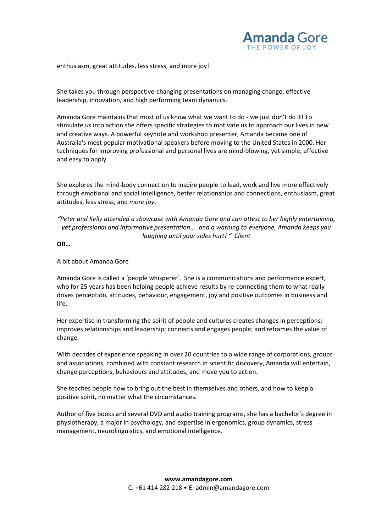

enthusiasm, great attitudes, less stress, and more joy!

She takes you through perspective-changing presentations on managing change, effective leadership, innovation, and high performing team dynamics.

Amanda Gore maintains that most of us know what we want to do - we just don't do it! To stimulate us into action she offers specific strategies to motivate us to approach our lives in new and creative ways. A powerful keynote and workshop presenter, Amanda became one of Australia's most popular motivational speakers before moving to the United States in 2000. Her techniques for improving professional and personal lives are mind-blowing, yet simple, effective and easy to apply.

She explores the mind-body connection to inspire people to lead, work and live more effectively through emotional and social intelligence, better relationships and connections, enthusiasm, great attitudes, less stress, and *more joy*.

## *"Peter and Kelly attended a showcase with Amanda Gore and can attest to her highly entertaining, yet professional and informative presentation.... and a warning to everyone, Amanda keeps you laughing until your sides hurt! " Client*

**OR…**

A bit about Amanda Gore

Amanda Gore is called a 'people whisperer'. She is a communications and performance expert, who for 25 years has been helping people achieve results by re-connecting them to what really drives perception, attitudes, behaviour, engagement, joy and positive outcomes in business and life.

Her expertise in transforming the spirit of people and cultures creates changes in perceptions; improves relationships and leadership; connects and engages people; and reframes the value of change.

With decades of experience speaking in over 20 countries to a wide range of corporations, groups and associations, combined with constant research in scientific discovery, Amanda will entertain, change perceptions, behaviours and attitudes, and move you to action.

She teaches people how to bring out the best in themselves and others, and how to keep a positive spirit, no matter what the circumstances.

Author of five books and several DVD and audio training programs, she has a bachelor's degree in physiotherapy, a major in psychology, and expertise in ergonomics, group dynamics, stress management, neurolinguistics, and emotional intelligence.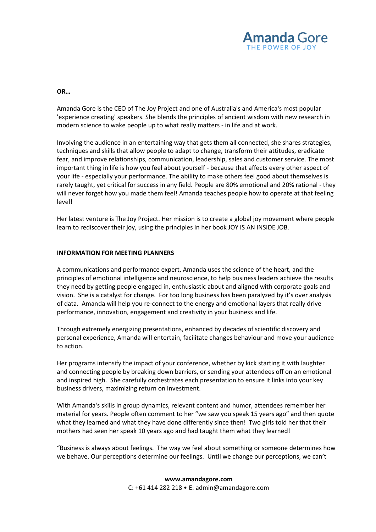

#### **OR…**

Amanda Gore is the CEO of The Joy Project and one of Australia's and America's most popular 'experience creating' speakers. She blends the principles of ancient wisdom with new research in modern science to wake people up to what really matters - in life and at work.

Involving the audience in an entertaining way that gets them all connected, she shares strategies, techniques and skills that allow people to adapt to change, transform their attitudes, eradicate fear, and improve relationships, communication, leadership, sales and customer service. The most important thing in life is how you feel about yourself - because that affects every other aspect of your life - especially your performance. The ability to make others feel good about themselves is rarely taught, yet critical for success in any field. People are 80% emotional and 20% rational - they will never forget how you made them feel! Amanda teaches people how to operate at that feeling level!

Her latest venture is The Joy Project. Her mission is to create a global joy movement where people learn to rediscover their joy, using the principles in her book JOY IS AN INSIDE JOB.

#### **INFORMATION FOR MEETING PLANNERS**

A communications and performance expert, Amanda uses the science of the heart, and the principles of emotional intelligence and neuroscience, to help business leaders achieve the results they need by getting people engaged in, enthusiastic about and aligned with corporate goals and vision. She is a catalyst for change. For too long business has been paralyzed by it's over analysis of data. Amanda will help you re-connect to the energy and emotional layers that really drive performance, innovation, engagement and creativity in your business and life.

Through extremely energizing presentations, enhanced by decades of scientific discovery and personal experience, Amanda will entertain, facilitate changes behaviour and move your audience to action.

Her programs intensify the impact of your conference, whether by kick starting it with laughter and connecting people by breaking down barriers, or sending your attendees off on an emotional and inspired high. She carefully orchestrates each presentation to ensure it links into your key business drivers, maximizing return on investment.

With Amanda's skills in group dynamics, relevant content and humor, attendees remember her material for years. People often comment to her "we saw you speak 15 years ago" and then quote what they learned and what they have done differently since then! Two girls told her that their mothers had seen her speak 10 years ago and had taught them what they learned!

"Business is always about feelings. The way we feel about something or someone determines how we behave. Our perceptions determine our feelings. Until we change our perceptions, we can't